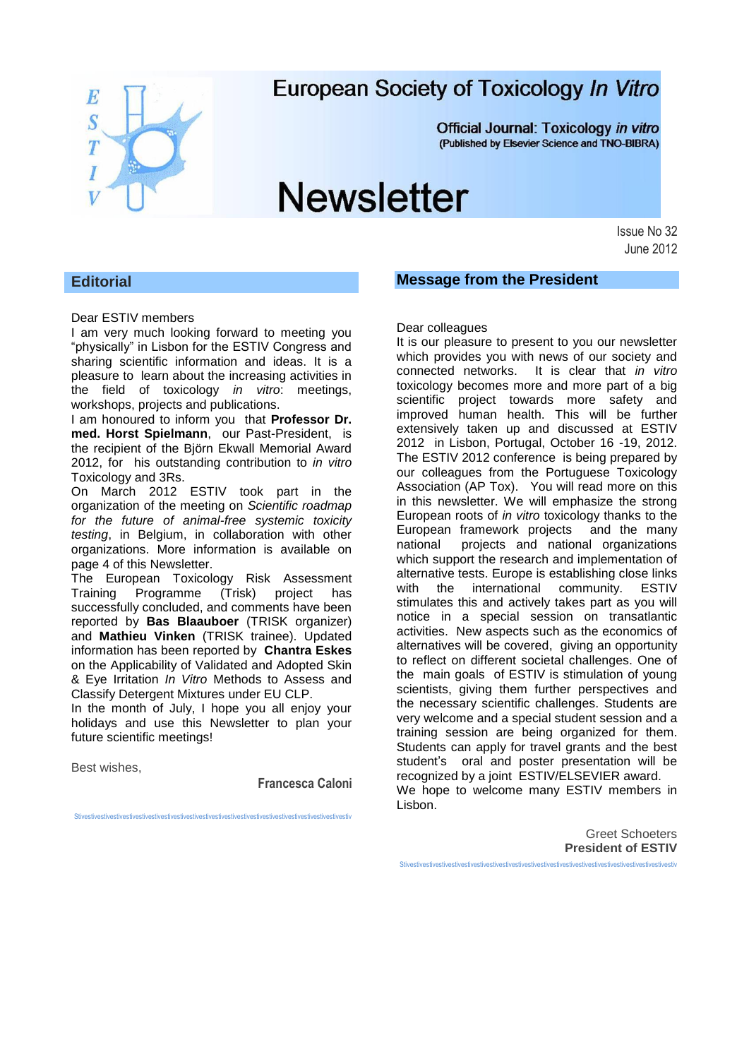

## European Society of Toxicology In Vitro

Official Journal: Toxicology in vitro (Published by Elsevier Science and TNO-BIBRA)

# **Newsletter**

Issue No 32 June 2012

## **Editorial**

#### Dear ESTIV members

I am very much looking forward to meeting you "physically" in Lisbon for the ESTIV Congress and sharing scientific information and ideas. It is a pleasure to learn about the increasing activities in the field of toxicology *in vitro*: meetings, workshops, projects and publications.

I am honoured to inform you that **Professor Dr. med. Horst Spielmann**, our Past-President, is the recipient of the Björn Ekwall Memorial Award 2012, for his outstanding contribution to *in vitro* Toxicology and 3Rs.

On March 2012 ESTIV took part in the organization of the meeting on *Scientific roadmap for the future of animal-free systemic toxicity testing*, in Belgium, in collaboration with other organizations. More information is available on page 4 of this Newsletter.

The European Toxicology Risk Assessment Training Programme (Trisk) project has successfully concluded, and comments have been reported by **Bas Blaauboer** (TRISK organizer) and **Mathieu Vinken** (TRISK trainee). Updated information has been reported by **Chantra Eskes** on the Applicability of Validated and Adopted Skin & Eye Irritation *In Vitro* Methods to Assess and Classify Detergent Mixtures under EU CLP.

In the month of July, I hope you all enjoy your holidays and use this Newsletter to plan your future scientific meetings!

Best wishes,

**Francesca Caloni**

Stivestivestivestivestivestivestivestivestivestivestivestivestivestivestivestivestivestivestivestivestivestiv

**Message from the President**

Dear colleagues It is our pleasure to present to you our newsletter which provides you with news of our society and connected networks. It is clear that *in vitro* toxicology becomes more and more part of a big scientific project towards more safety and improved human health. This will be further extensively taken up and discussed at ESTIV 2012 in Lisbon, Portugal, October 16 -19, 2012. The ESTIV 2012 conference is being prepared by our colleagues from the Portuguese Toxicology Association (AP Tox). You will read more on this in this newsletter. We will emphasize the strong European roots of *in vitro* toxicology thanks to the European framework projects and the many national projects and national organizations which support the research and implementation of alternative tests. Europe is establishing close links with the international community. ESTIV stimulates this and actively takes part as you will notice in a special session on transatlantic activities. New aspects such as the economics of alternatives will be covered, giving an opportunity to reflect on different societal challenges. One of the main goals of ESTIV is stimulation of young scientists, giving them further perspectives and the necessary scientific challenges. Students are very welcome and a special student session and a training session are being organized for them. Students can apply for travel grants and the best student's oral and poster presentation will be recognized by a joint ESTIV/ELSEVIER award. We hope to welcome many ESTIV members in Lisbon.

> Greet Schoeters **President of ESTIV**

Stivestivestivestivestivestivestivestivestivestivestivestivestivestivestivestivestivestivestivestivestivestiv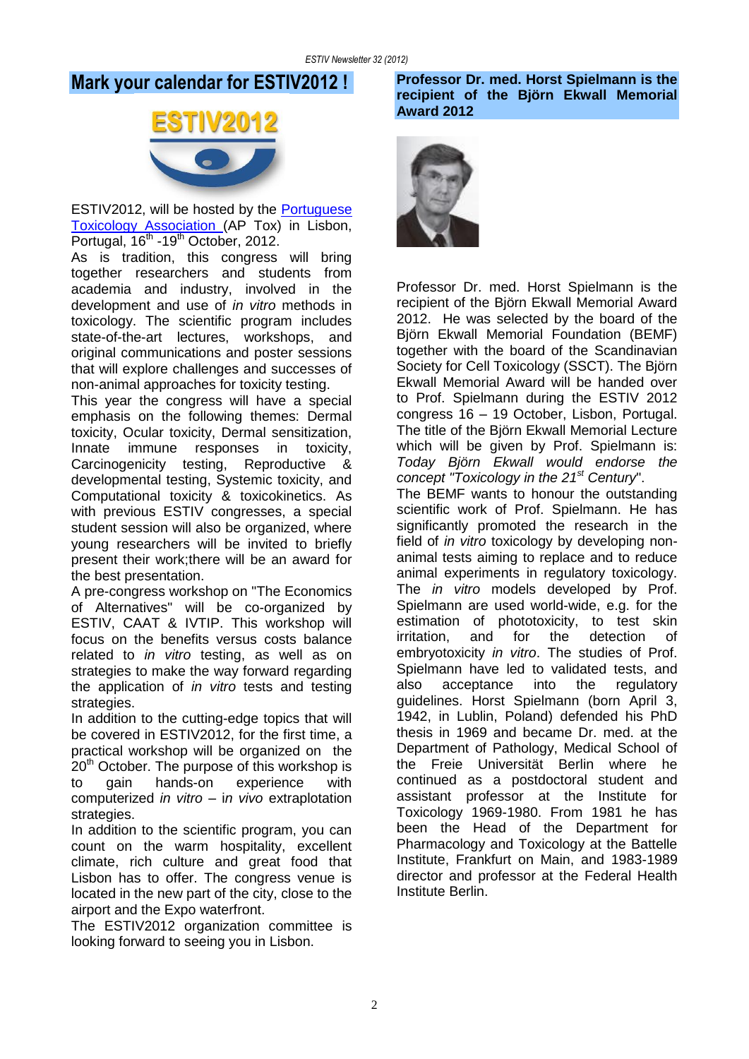## **Mark your calendar for ESTIV2012 !**



ESTIV2012, will be hosted by the [Portuguese](http://www.aptox.pt/)  [Toxicology Association \(](http://www.aptox.pt/)AP Tox) in Lisbon, Portugal, 16<sup>th</sup> -19<sup>th</sup> October, 2012.

As is tradition, this congress will bring together researchers and students from academia and industry, involved in the development and use of *in vitro* methods in toxicology. The scientific program includes state-of-the-art lectures, workshops, and original communications and poster sessions that will explore challenges and successes of non-animal approaches for toxicity testing.

This year the congress will have a special emphasis on the following themes: Dermal toxicity, Ocular toxicity, Dermal sensitization, Innate immune responses in toxicity, Carcinogenicity testing, Reproductive & developmental testing, Systemic toxicity, and Computational toxicity & toxicokinetics. As with previous ESTIV congresses, a special student session will also be organized, where young researchers will be invited to briefly present their work;there will be an award for the best presentation.

A pre-congress workshop on "The Economics of Alternatives" will be co-organized by ESTIV, CAAT & IVTIP. This workshop will focus on the benefits versus costs balance related to *in vitro* testing, as well as on strategies to make the way forward regarding the application of *in vitro* tests and testing strategies.

In addition to the cutting-edge topics that will be covered in ESTIV2012, for the first time, a practical workshop will be organized on the  $20<sup>th</sup>$  October. The purpose of this workshop is to gain hands-on experience with computerized *in vitro* – i*n vivo* extraplotation strategies.

In addition to the scientific program, you can count on the warm hospitality, excellent climate, rich culture and great food that Lisbon has to offer. The congress venue is located in the new part of the city, close to the airport and the Expo waterfront.

The ESTIV2012 organization committee is looking forward to seeing you in Lisbon.

## **Professor Dr. med. Horst Spielmann is the recipient of the Björn Ekwall Memorial Award 2012**



Professor Dr. med. Horst Spielmann is the recipient of the Björn Ekwall Memorial Award 2012. He was selected by the board of the Björn Ekwall Memorial Foundation (BEMF) together with the board of the Scandinavian Society for Cell Toxicology (SSCT). The Björn Ekwall Memorial Award will be handed over to Prof. Spielmann during the ESTIV 2012 congress 16 – 19 October, Lisbon, Portugal. The title of the Björn Ekwall Memorial Lecture which will be given by Prof. Spielmann is: *Today Björn Ekwall would endorse the concept "Toxicology in the 21st Century*".

The BEMF wants to honour the outstanding scientific work of Prof. Spielmann. He has significantly promoted the research in the field of *in vitro* toxicology by developing nonanimal tests aiming to replace and to reduce animal experiments in regulatory toxicology. The *in vitro* models developed by Prof. Spielmann are used world-wide, e.g. for the estimation of phototoxicity, to test skin irritation, and for the detection of embryotoxicity *in vitro*. The studies of Prof. Spielmann have led to validated tests, and also acceptance into the regulatory guidelines. Horst Spielmann (born April 3, 1942, in Lublin, Poland) defended his PhD thesis in 1969 and became Dr. med. at the Department of Pathology, Medical School of the Freie Universität Berlin where he continued as a postdoctoral student and assistant professor at the Institute for Toxicology 1969-1980. From 1981 he has been the Head of the Department for Pharmacology and Toxicology at the Battelle Institute, Frankfurt on Main, and 1983-1989 director and professor at the Federal Health Institute Berlin.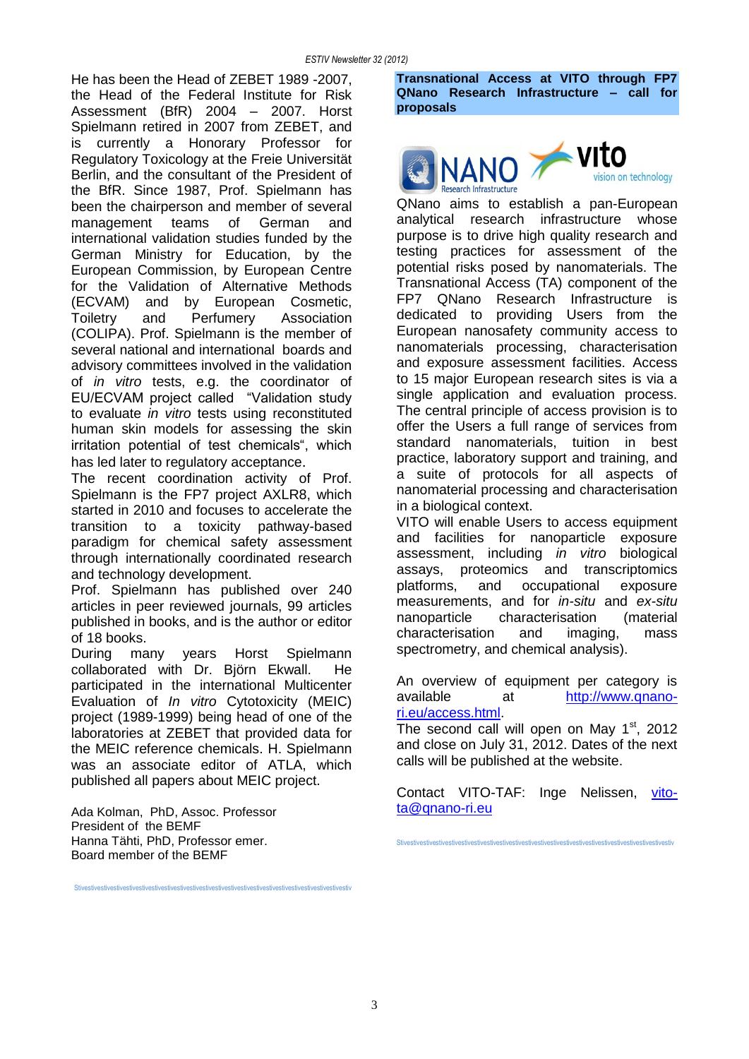He has been the Head of ZEBET 1989 -2007, the Head of the Federal Institute for Risk Assessment (BfR) 2004 – 2007. Horst Spielmann retired in 2007 from ZEBET, and is currently a Honorary Professor for Regulatory Toxicology at the Freie Universität Berlin, and the consultant of the President of the BfR. Since 1987, Prof. Spielmann has been the chairperson and member of several management teams of German and international validation studies funded by the German Ministry for Education, by the European Commission, by European Centre for the Validation of Alternative Methods (ECVAM) and by European Cosmetic, Toiletry and Perfumery Association (COLIPA). Prof. Spielmann is the member of several national and international boards and advisory committees involved in the validation of *in vitro* tests, e.g. the coordinator of EU/ECVAM project called "Validation study to evaluate *in vitro* tests using reconstituted human skin models for assessing the skin irritation potential of test chemicals", which has led later to regulatory acceptance.

The recent coordination activity of Prof. Spielmann is the FP7 project AXLR8, which started in 2010 and focuses to accelerate the transition to a toxicity pathway-based paradigm for chemical safety assessment through internationally coordinated research and technology development.

Prof. Spielmann has published over 240 articles in peer reviewed journals, 99 articles published in books, and is the author or editor of 18 books.

During many years Horst Spielmann collaborated with Dr. Björn Ekwall. He participated in the international Multicenter Evaluation of *In vitro* Cytotoxicity (MEIC) project (1989-1999) being head of one of the laboratories at ZEBET that provided data for the MEIC reference chemicals. H. Spielmann was an associate editor of ATLA, which published all papers about MEIC project.

Stivestivestivestivestivestivestivestivestivestivestivestivestivestivestivestivestivestivestivestivestivestiv

Ada Kolman, PhD, Assoc. Professor President of the BEMF Hanna Tähti, PhD, Professor emer. Board member of the BEMF

**Transnational Access at VITO through FP7 QNano Research Infrastructure – call for proposals**



QNano aims to establish a pan-European analytical research infrastructure whose purpose is to drive high quality research and testing practices for assessment of the potential risks posed by nanomaterials. The Transnational Access (TA) component of the FP7 QNano Research Infrastructure is dedicated to providing Users from the European nanosafety community access to nanomaterials processing, characterisation and exposure assessment facilities. Access to 15 major European research sites is via a single application and evaluation process. The central principle of access provision is to offer the Users a full range of services from standard nanomaterials, tuition in best practice, laboratory support and training, and a suite of protocols for all aspects of nanomaterial processing and characterisation in a biological context.

VITO will enable Users to access equipment and facilities for nanoparticle exposure assessment, including *in vitro* biological assays, proteomics and transcriptomics platforms, and occupational exposure measurements, and for *in-situ* and *ex-situ* nanoparticle characterisation (material characterisation and imaging, mass spectrometry, and chemical analysis).

An overview of equipment per category is available at [http://www.qnano](http://www.qnano-ri.eu/access.html)[ri.eu/access.html.](http://www.qnano-ri.eu/access.html)

The second call will open on May  $1<sup>st</sup>$ , 2012 and close on July 31, 2012. Dates of the next calls will be published at the website.

Contact VITO-TAF: Inge Nelissen, [vito](mailto:vito-ta@qnano-ri.eu)[ta@qnano-ri.eu](mailto:vito-ta@qnano-ri.eu)

Stivestivestivestivestivestivestivestivestivestivestivestivestivestivestivestivestivestivestivestivestivestiv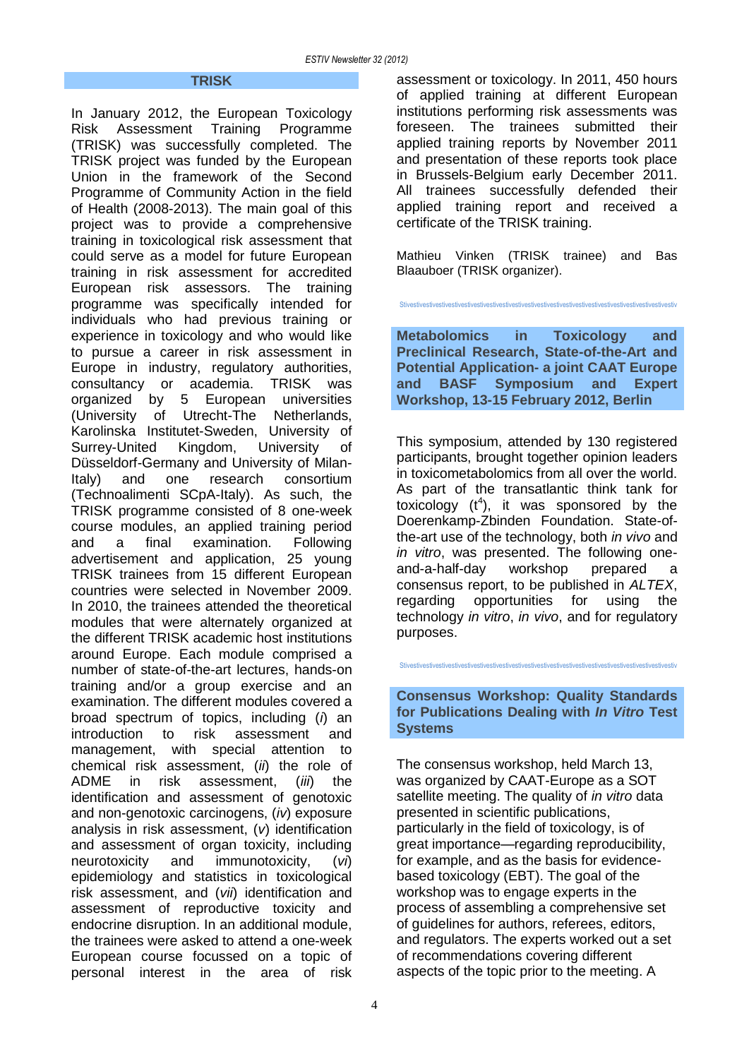#### **TRISK**

In January 2012, the European Toxicology Risk Assessment Training Programme (TRISK) was successfully completed. The TRISK project was funded by the European Union in the framework of the Second Programme of Community Action in the field of Health (2008-2013). The main goal of this project was to provide a comprehensive training in toxicological risk assessment that could serve as a model for future European training in risk assessment for accredited European risk assessors. The training programme was specifically intended for individuals who had previous training or experience in toxicology and who would like to pursue a career in risk assessment in Europe in industry, regulatory authorities, consultancy or academia. TRISK was organized by 5 European universities (University of Utrecht-The Netherlands, Karolinska Institutet-Sweden, University of Surrey-United Kingdom, University of Düsseldorf-Germany and University of Milan-Italy) and one research consortium (Technoalimenti SCpA-Italy). As such, the TRISK programme consisted of 8 one-week course modules, an applied training period and a final examination. Following advertisement and application, 25 young TRISK trainees from 15 different European countries were selected in November 2009. In 2010, the trainees attended the theoretical modules that were alternately organized at the different TRISK academic host institutions around Europe. Each module comprised a number of state-of-the-art lectures, hands-on training and/or a group exercise and an examination. The different modules covered a broad spectrum of topics, including (*i*) an introduction to risk assessment and management, with special attention to chemical risk assessment, (*ii*) the role of ADME in risk assessment, (*iii*) the identification and assessment of genotoxic and non-genotoxic carcinogens, (*iv*) exposure analysis in risk assessment, (*v*) identification and assessment of organ toxicity, including neurotoxicity and immunotoxicity, (*vi*) epidemiology and statistics in toxicological risk assessment, and (*vii*) identification and assessment of reproductive toxicity and endocrine disruption. In an additional module, the trainees were asked to attend a one-week European course focussed on a topic of personal interest in the area of risk

assessment or toxicology. In 2011, 450 hours of applied training at different European institutions performing risk assessments was foreseen. The trainees submitted their applied training reports by November 2011 and presentation of these reports took place in Brussels-Belgium early December 2011. All trainees successfully defended their applied training report and received a certificate of the TRISK training.

Mathieu Vinken (TRISK trainee) and Bas Blaauboer (TRISK organizer).

Stivestivestivestivestivestivestivestivestivestivestivestivestivestivestivestivestivestivestivestivestivestiv

**Metabolomics in Toxicology and Preclinical Research, State-of-the-Art and Potential Application- a joint CAAT Europe and BASF Symposium and Expert Workshop, 13-15 February 2012, Berlin**

This symposium, attended by 130 registered participants, brought together opinion leaders in toxicometabolomics from all over the world. As part of the transatlantic think tank for toxicology  $(t^4)$ , it was sponsored by the Doerenkamp-Zbinden Foundation. State-ofthe-art use of the technology, both *in vivo* and *in vitro*, was presented. The following oneand-a-half-day workshop prepared a consensus report, to be published in *ALTEX*, regarding opportunities for using the technology *in vitro*, *in vivo*, and for regulatory purposes.

**Consensus Workshop: Quality Standards for Publications Dealing with** *In Vitro* **Test Systems** 

Stivestivestivestivestivestivestivestivestivestivestivestivestivestivestivestivestivestivestivestivestivestiv

The consensus workshop, held March 13, was organized by CAAT-Europe as a SOT satellite meeting. The quality of *in vitro* data presented in scientific publications, particularly in the field of toxicology, is of great importance—regarding reproducibility, for example, and as the basis for evidencebased toxicology (EBT). The goal of the workshop was to engage experts in the process of assembling a comprehensive set of guidelines for authors, referees, editors, and regulators. The experts worked out a set of recommendations covering different aspects of the topic prior to the meeting. A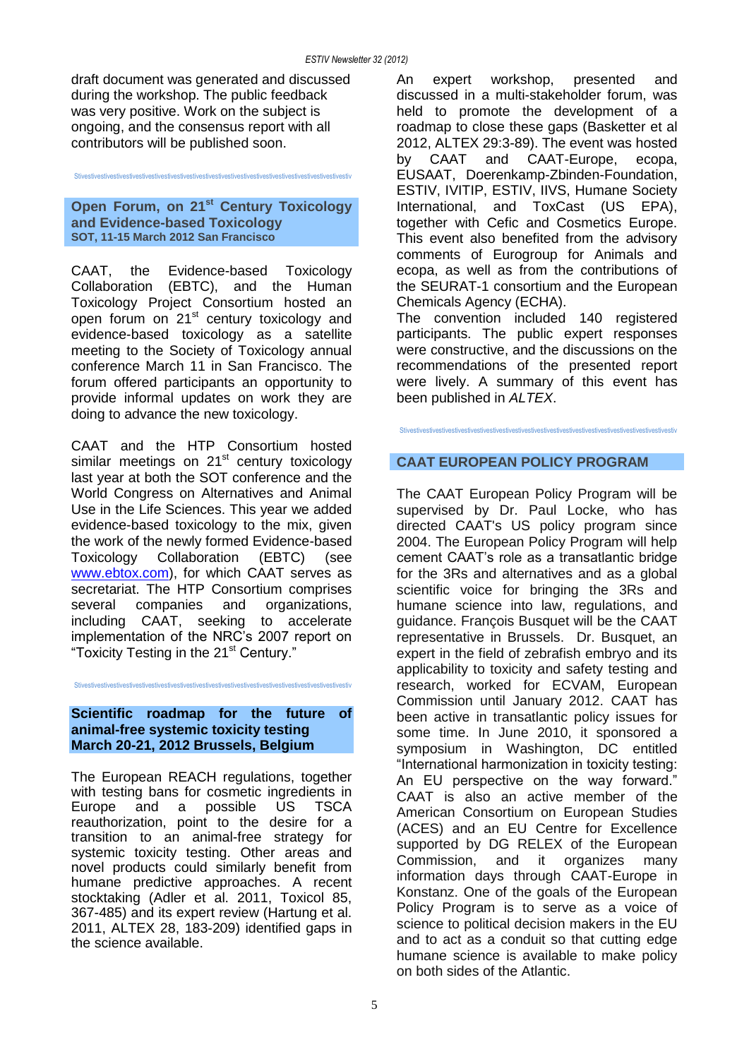draft document was generated and discussed during the workshop. The public feedback was very positive. Work on the subject is ongoing, and the consensus report with all contributors will be published soon.

#### **Open Forum, on 21st Century Toxicology and Evidence-based Toxicology SOT, 11-15 March 2012 San Francisco**

Stivestivestivestivestivestivestivestivestivestivestivestivestivestivestivestivestivestivestivestivestivestiv

CAAT, the Evidence-based Toxicology Collaboration (EBTC), and the Human Toxicology Project Consortium hosted an open forum on 21<sup>st</sup> century toxicology and evidence-based toxicology as a satellite meeting to the Society of Toxicology annual conference March 11 in San Francisco. The forum offered participants an opportunity to provide informal updates on work they are doing to advance the new toxicology.

CAAT and the HTP Consortium hosted similar meetings on 21<sup>st</sup> century toxicology last year at both the SOT conference and the World Congress on Alternatives and Animal Use in the Life Sciences. This year we added evidence-based toxicology to the mix, given the work of the newly formed Evidence-based Toxicology Collaboration (EBTC) (see [www.ebtox.com\)](http://www.ebtox.com/), for which CAAT serves as secretariat. The HTP Consortium comprises several companies and organizations, including CAAT, seeking to accelerate implementation of the NRC's 2007 report on "Toxicity Testing in the 21<sup>st</sup> Century."

Stivestivestivestivestivestivestivestivestivestivestivestivestivestivestivestivestivestivestivestivestivestiv

### **Scientific roadmap for the future of animal-free systemic toxicity testing March 20-21, 2012 Brussels, Belgium**

The European REACH regulations, together with testing bans for cosmetic ingredients in Europe and a possible US TSCA reauthorization, point to the desire for a transition to an animal-free strategy for systemic toxicity testing. Other areas and novel products could similarly benefit from humane predictive approaches. A recent stocktaking (Adler et al. 2011, Toxicol 85, 367-485) and its expert review (Hartung et al. 2011, ALTEX 28, 183-209) identified gaps in the science available.

An expert workshop, presented and discussed in a multi-stakeholder forum, was held to promote the development of a roadmap to close these gaps (Basketter et al 2012, ALTEX 29:3-89). The event was hosted by CAAT and CAAT-Europe, ecopa, EUSAAT, Doerenkamp-Zbinden-Foundation, ESTIV, IVITIP, ESTIV, IIVS, Humane Society International, and ToxCast (US EPA), together with Cefic and Cosmetics Europe. This event also benefited from the advisory comments of Eurogroup for Animals and ecopa, as well as from the contributions of the SEURAT-1 consortium and the European Chemicals Agency (ECHA).

The convention included 140 registered participants. The public expert responses were constructive, and the discussions on the recommendations of the presented report were lively. A summary of this event has been published in *ALTEX*.

Stivestivestivestivestivestivestivestivestivestivestivestivestivestivestivestivestivestivestivestivestivestiv

## **CAAT EUROPEAN POLICY PROGRAM**

The CAAT European Policy Program will be supervised by Dr. Paul Locke, who has directed CAAT's US policy program since 2004. The European Policy Program will help cement CAAT's role as a transatlantic bridge for the 3Rs and alternatives and as a global scientific voice for bringing the 3Rs and humane science into law, regulations, and guidance. François Busquet will be the CAAT representative in Brussels. Dr. Busquet, an expert in the field of zebrafish embryo and its applicability to toxicity and safety testing and research, worked for ECVAM, European Commission until January 2012. CAAT has been active in transatlantic policy issues for some time. In June 2010, it sponsored a symposium in Washington, DC entitled "International harmonization in toxicity testing: An EU perspective on the way forward." CAAT is also an active member of the American Consortium on European Studies (ACES) and an EU Centre for Excellence supported by DG RELEX of the European Commission, and it organizes many information days through CAAT-Europe in Konstanz. One of the goals of the European Policy Program is to serve as a voice of science to political decision makers in the EU and to act as a conduit so that cutting edge humane science is available to make policy on both sides of the Atlantic.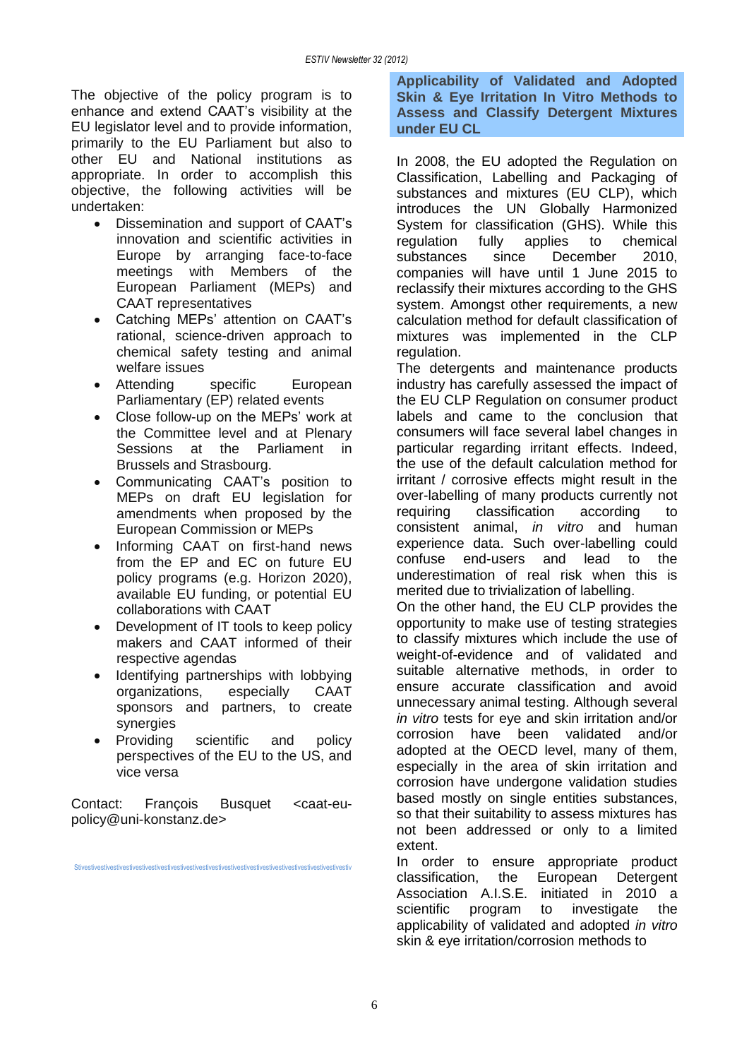The objective of the policy program is to enhance and extend CAAT's visibility at the EU legislator level and to provide information, primarily to the EU Parliament but also to other EU and National institutions as appropriate. In order to accomplish this objective, the following activities will be undertaken:

- Dissemination and support of CAAT's innovation and scientific activities in Europe by arranging face-to-face meetings with Members of the European Parliament (MEPs) and CAAT representatives
- Catching MEPs' attention on CAAT's rational, science-driven approach to chemical safety testing and animal welfare issues
- Attending specific European Parliamentary (EP) related events
- Close follow-up on the MEPs' work at the Committee level and at Plenary Sessions at the Parliament in Brussels and Strasbourg.
- Communicating CAAT's position to MEPs on draft EU legislation for amendments when proposed by the European Commission or MEPs
- Informing CAAT on first-hand news from the EP and EC on future EU policy programs (e.g. Horizon 2020), available EU funding, or potential EU collaborations with CAAT
- Development of IT tools to keep policy makers and CAAT informed of their respective agendas
- Identifying partnerships with lobbying organizations, especially CAAT sponsors and partners, to create synergies
- Providing scientific and policy perspectives of the EU to the US, and vice versa

Contact: Francois Busquet <caat-eupolicy@uni-konstanz.de>

Stivestivestivestivestivestivestivestivestivestivestivestivestivestivestivestivestivestivestivestivestivestiv

**Applicability of Validated and Adopted Skin & Eye Irritation In Vitro Methods to Assess and Classify Detergent Mixtures under EU CL**

In 2008, the EU adopted the Regulation on Classification, Labelling and Packaging of substances and mixtures (EU CLP), which introduces the UN Globally Harmonized System for classification (GHS). While this regulation fully applies to chemical substances since December 2010, companies will have until 1 June 2015 to reclassify their mixtures according to the GHS system. Amongst other requirements, a new calculation method for default classification of mixtures was implemented in the CLP regulation.

The detergents and maintenance products industry has carefully assessed the impact of the EU CLP Regulation on consumer product labels and came to the conclusion that consumers will face several label changes in particular regarding irritant effects. Indeed, the use of the default calculation method for irritant / corrosive effects might result in the over-labelling of many products currently not requiring classification according to consistent animal, *in vitro* and human experience data. Such over-labelling could confuse end-users and lead to the underestimation of real risk when this is merited due to trivialization of labelling.

On the other hand, the EU CLP provides the opportunity to make use of testing strategies to classify mixtures which include the use of weight-of-evidence and of validated and suitable alternative methods, in order to ensure accurate classification and avoid unnecessary animal testing. Although several *in vitro* tests for eye and skin irritation and/or corrosion have been validated and/or adopted at the OECD level, many of them, especially in the area of skin irritation and corrosion have undergone validation studies based mostly on single entities substances, so that their suitability to assess mixtures has not been addressed or only to a limited extent.

In order to ensure appropriate product classification, the European Detergent Association A.I.S.E. initiated in 2010 a scientific program to investigate the applicability of validated and adopted *in vitro* skin & eye irritation/corrosion methods to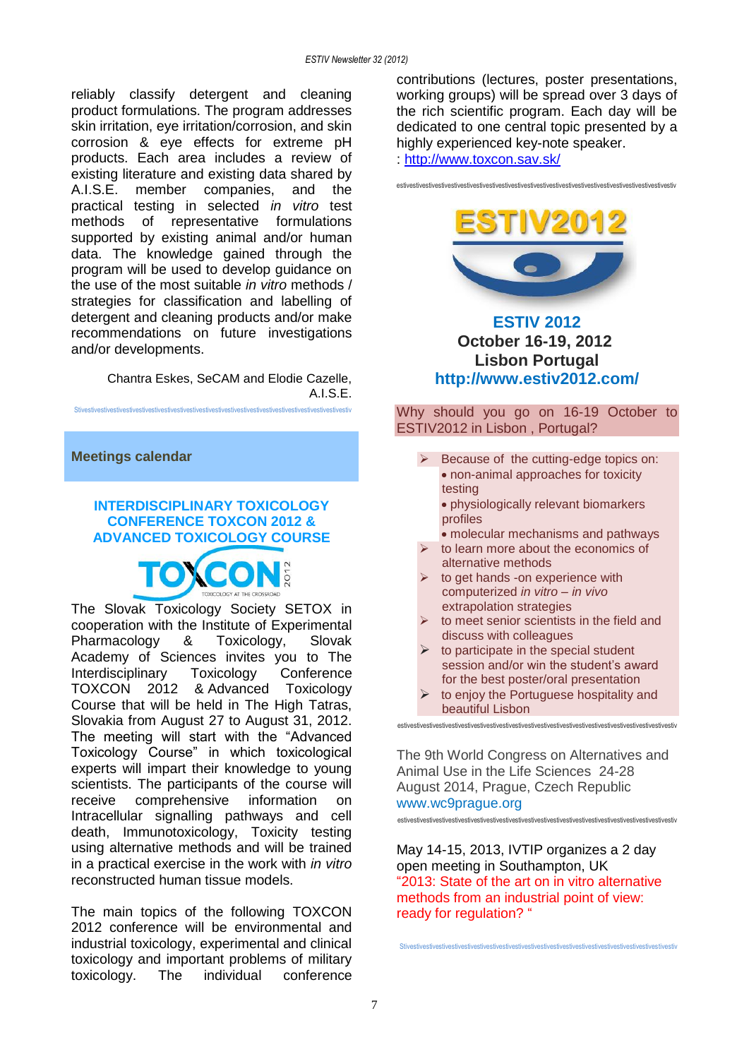reliably classify detergent and cleaning product formulations. The program addresses skin irritation, eye irritation/corrosion, and skin corrosion & eye effects for extreme pH products. Each area includes a review of existing literature and existing data shared by A.I.S.E. member companies, and the practical testing in selected *in vitro* test methods of representative formulations supported by existing animal and/or human data. The knowledge gained through the program will be used to develop guidance on the use of the most suitable *in vitro* methods / strategies for classification and labelling of detergent and cleaning products and/or make recommendations on future investigations and/or developments.

> Chantra Eskes, SeCAM and Elodie Cazelle, A.I.S.E.

Stivestivestivestivestivestivestivestivestivestivestivestivestivestivestivestivestivestivestivestivestivestiv

**Meetings calendar**

## **INTERDISCIPLINARY TOXICOLOGY CONFERENCE TOXCON 2012 & ADVANCED TOXICOLOGY COURSE**



The Slovak Toxicology Society SETOX in cooperation with the Institute of Experimental Pharmacology & Toxicology, Slovak Academy of Sciences invites you to The Interdisciplinary Toxicology Conference TOXCON 2012 & Advanced Toxicology Course that will be held in The High Tatras, Slovakia from August 27 to August 31, 2012. The meeting will start with the "Advanced Toxicology Course" in which toxicological experts will impart their knowledge to young scientists. The participants of the course will receive comprehensive information on Intracellular signalling pathways and cell death, Immunotoxicology, Toxicity testing using alternative methods and will be trained in a practical exercise in the work with *in vitro* reconstructed human tissue models.

The main topics of the following TOXCON 2012 conference will be environmental and industrial toxicology, experimental and clinical toxicology and important problems of military toxicology. The individual conference contributions (lectures, poster presentations, working groups) will be spread over 3 days of the rich scientific program. Each day will be dedicated to one central topic presented by a highly experienced key-note speaker.

estivestivestivestivestivestivestivestivestivestivestivestivestivestivestivestivestivestivestivestivestivestiv

:<http://www.toxcon.sav.sk/>



## **ESTIV 2012 October 16-19, 2012 Lisbon Portugal [http://www.estiv2012.com/](http://www.estiv.org/)**

Why should you go on 16-19 October to ESTIV2012 in Lisbon , Portugal?

- $\triangleright$  Because of the cutting-edge topics on: non-animal approaches for toxicity testing • physiologically relevant biomarkers
	- profiles
- molecular mechanisms and pathways to learn more about the economics of
- alternative methods to get hands -on experience with computerized *in vitro* – *in vivo*
- extrapolation strategies to meet senior scientists in the field and
- discuss with colleagues  $\triangleright$  to participate in the special student
- session and/or win the student's award for the best poster/oral presentation
- $\triangleright$  to enjoy the Portuguese hospitality and beautiful Lisbon estivestivestivestivestivestivestivestivestivestivestivestivestivestivestivestivestivestivestivestivestivestiv

The 9th World Congress on Alternatives and Animal Use in the Life Sciences 24-28 August 2014, Prague, Czech Republic [www.wc9prague.org](http://www.wc9prague.org/)

estivestivestivestivestivestivestivestivestivestivestivestivestivestivestivestivestivestivestivestivestivestiv

May 14-15, 2013, IVTIP organizes a 2 day open meeting in Southampton, UK "2013: State of the art on in vitro alternative methods from an industrial point of view: ready for regulation? "

Stivestivestivestivestivestivestivestivestivestivestivestivestivestivestivestivestivestivestivestivestivestiv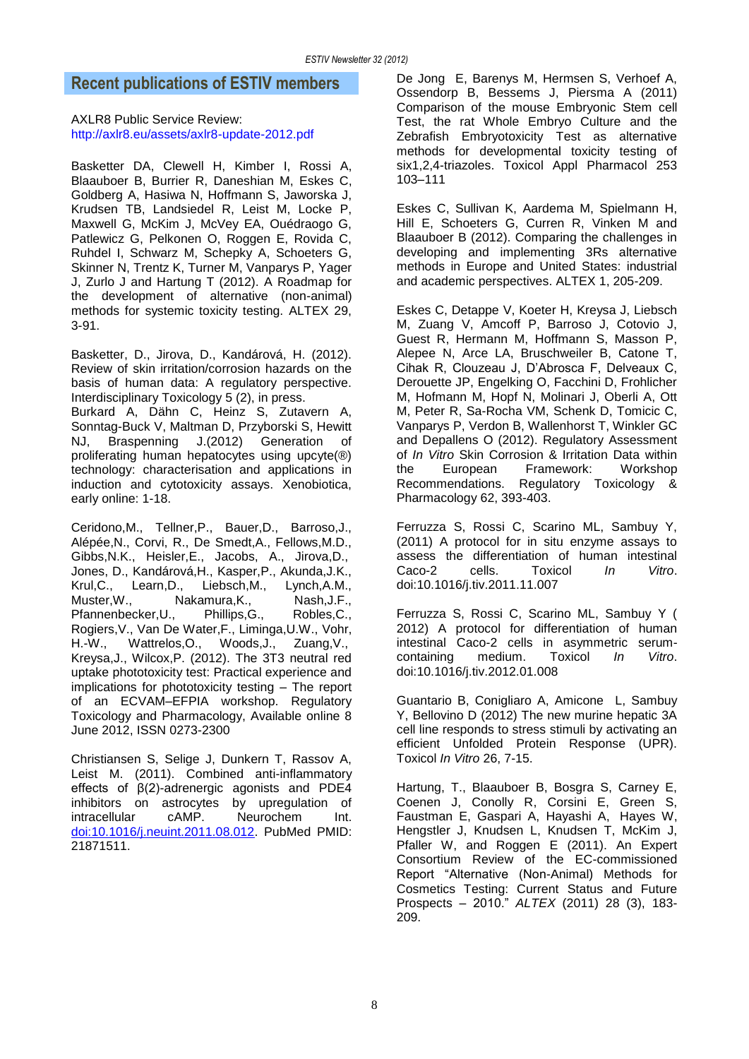## **Recent publications of ESTIV members**

AXLR8 Public Service Review: <http://axlr8.eu/assets/axlr8-update-2012.pdf>

Basketter DA, Clewell H, Kimber I, Rossi A, Blaauboer B, Burrier R, Daneshian M, Eskes C, Goldberg A, Hasiwa N, Hoffmann S, Jaworska J, Krudsen TB, Landsiedel R, Leist M, Locke P, Maxwell G, McKim J, McVey EA, Ouédraogo G, Patlewicz G, Pelkonen O, Roggen E, Rovida C, Ruhdel I, Schwarz M, Schepky A, Schoeters G, Skinner N, Trentz K, Turner M, Vanparys P, Yager J, Zurlo J and Hartung T (2012). A Roadmap for the development of alternative (non-animal) methods for systemic toxicity testing. ALTEX 29, 3-91.

Basketter, D., Jirova, D., Kandárová, H. (2012). Review of skin irritation/corrosion hazards on the basis of human data: A regulatory perspective. Interdisciplinary Toxicology 5 (2), in press.

Burkard A, Dähn C, Heinz S, Zutavern A, Sonntag-Buck V, Maltman D, Przyborski S, Hewitt NJ, Braspenning J.(2012) Generation of proliferating human hepatocytes using upcyte(®) technology: characterisation and applications in induction and cytotoxicity assays. Xenobiotica, early online: 1-18.

Ceridono,M., Tellner,P., Bauer,D., Barroso,J., Alépée,N., Corvi, R., De Smedt,A., Fellows,M.D., Gibbs,N.K., Heisler,E., Jacobs, A., Jirova,D., Jones, D., Kandárová,H., Kasper,P., Akunda,J.K., Krul,C., Learn,D., Liebsch,M., Lynch,A.M., Muster, W., Nakamura, K., Nash, J.F., Pfannenbecker,U., Phillips,G., Robles,C., Rogiers, V., Van De Water, F., Liminga, U.W., Vohr, H.-W., Wattrelos, O., Woods, J., Zuang, V., Wattrelos,O., Kreysa,J., Wilcox,P. (2012). The 3T3 neutral red uptake phototoxicity test: Practical experience and implications for phototoxicity testing – The report of an ECVAM–EFPIA workshop. Regulatory Toxicology and Pharmacology, Available online 8 June 2012, ISSN 0273-2300

Christiansen S, Selige J, Dunkern T, Rassov A, Leist M. (2011). Combined anti-inflammatory effects of β(2)-adrenergic agonists and PDE4 inhibitors on astrocytes by upregulation of intracellular cAMP. Neurochem Int. [doi:10.1016/j.neuint.2011.08.012.](http://dx.doi.org/10.1016/j.neuint.2011.08.012) PubMed PMID: 21871511.

De Jong E, Barenys M, Hermsen S, Verhoef A, Ossendorp B, Bessems J, Piersma A (2011) Comparison of the mouse Embryonic Stem cell Test, the rat Whole Embryo Culture and the Zebrafish Embryotoxicity Test as alternative methods for developmental toxicity testing of six1,2,4-triazoles. Toxicol Appl Pharmacol 253 103–111

Eskes C, Sullivan K, Aardema M, Spielmann H, Hill E, Schoeters G, Curren R, Vinken M and Blaauboer B (2012). Comparing the challenges in developing and implementing 3Rs alternative methods in Europe and United States: industrial and academic perspectives. ALTEX 1, 205-209.

Eskes C, Detappe V, Koeter H, Kreysa J, Liebsch M, Zuang V, Amcoff P, Barroso J, Cotovio J, Guest R, Hermann M, Hoffmann S, Masson P, Alepee N, Arce LA, Bruschweiler B, Catone T, Cihak R, Clouzeau J, D'Abrosca F, Delveaux C, Derouette JP, Engelking O, Facchini D, Frohlicher M, Hofmann M, Hopf N, Molinari J, Oberli A, Ott M, Peter R, Sa-Rocha VM, Schenk D, Tomicic C, Vanparys P, Verdon B, Wallenhorst T, Winkler GC and Depallens O (2012). Regulatory Assessment of *In Vitro* Skin Corrosion & Irritation Data within the European Framework: Workshop Recommendations. Regulatory Toxicology & Pharmacology 62, 393-403.

Ferruzza S, Rossi C, Scarino ML, Sambuy Y, (2011) A protocol for in situ enzyme assays to assess the differentiation of human intestinal Caco-2 cells. Toxicol *In Vitro*. doi:10.1016/j.tiv.2011.11.007

Ferruzza S, Rossi C, Scarino ML, Sambuy Y ( 2012) A protocol for differentiation of human intestinal Caco-2 cells in asymmetric serumcontaining medium. Toxicol *In Vitro*. doi:10.1016/j.tiv.2012.01.008

Guantario B, Conigliaro A, Amicone L, Sambuy Y, Bellovino D (2012) The new murine hepatic 3A cell line responds to stress stimuli by activating an efficient Unfolded Protein Response (UPR). Toxicol *In Vitro* 26, 7-15.

Hartung, T., Blaauboer B, Bosgra S, Carney E, Coenen J, Conolly R, Corsini E, Green S, Faustman E, Gaspari A, Hayashi A, Hayes W, Hengstler J, Knudsen L, Knudsen T, McKim J, Pfaller W, and Roggen E (2011). An Expert Consortium Review of the EC-commissioned Report "Alternative (Non-Animal) Methods for Cosmetics Testing: Current Status and Future Prospects – 2010." *ALTEX* (2011) 28 (3), 183- 209.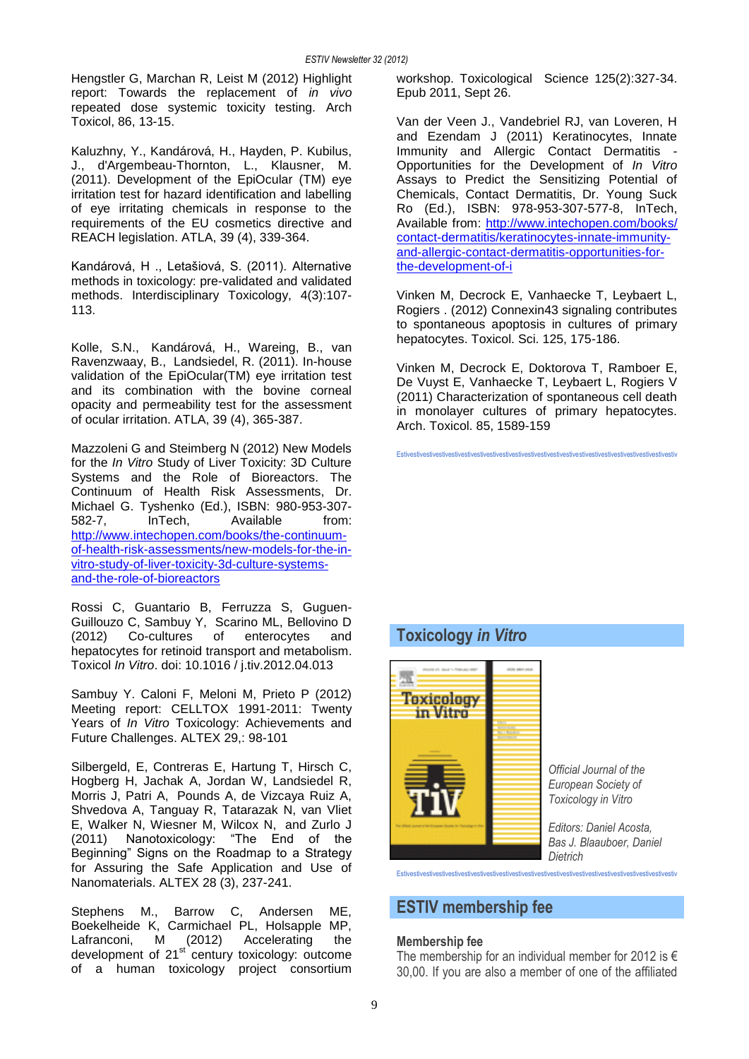Hengstler G, Marchan R, Leist M (2012) Highlight report: Towards the replacement of *in vivo* repeated dose systemic toxicity testing. Arch Toxicol, 86, 13-15.

Kaluzhny, Y., Kandárová, H., Hayden, P. Kubilus, J., d'Argembeau-Thornton, L., Klausner, M. (2011). Development of the EpiOcular (TM) eye irritation test for hazard identification and labelling of eye irritating chemicals in response to the requirements of the EU cosmetics directive and REACH legislation. ATLA, 39 (4), 339-364.

Kandárová, H ., Letašiová, S. (2011). Alternative methods in toxicology: pre-validated and validated methods. Interdisciplinary Toxicology, 4(3):107- 113.

Kolle, S.N., Kandárová, H., Wareing, B., van Ravenzwaay, B., Landsiedel, R. (2011). In-house validation of the EpiOcular(TM) eye irritation test and its combination with the bovine corneal opacity and permeability test for the assessment of ocular irritation. ATLA, 39 (4), 365-387.

Mazzoleni G and Steimberg N (2012) New Models for the *In Vitro* Study of Liver Toxicity: 3D Culture Systems and the Role of Bioreactors. The Continuum of Health Risk Assessments, Dr. Michael G. Tyshenko (Ed.), ISBN: 980-953-307- 582-7, InTech, Available from: [http://www.intechopen.com/books/the-continuum](http://www.intechopen.com/books/the-continuum-of-health-risk-assessments/new-models-for-the-in-vitro-study-of-liver-toxicity-3d-culture-systems-and-the-role-of-bioreactors)[of-health-risk-assessments/new-models-for-the-in](http://www.intechopen.com/books/the-continuum-of-health-risk-assessments/new-models-for-the-in-vitro-study-of-liver-toxicity-3d-culture-systems-and-the-role-of-bioreactors)[vitro-study-of-liver-toxicity-3d-culture-systems](http://www.intechopen.com/books/the-continuum-of-health-risk-assessments/new-models-for-the-in-vitro-study-of-liver-toxicity-3d-culture-systems-and-the-role-of-bioreactors)[and-the-role-of-bioreactors](http://www.intechopen.com/books/the-continuum-of-health-risk-assessments/new-models-for-the-in-vitro-study-of-liver-toxicity-3d-culture-systems-and-the-role-of-bioreactors)

Rossi C, Guantario B, Ferruzza S, Guguen-Guillouzo C, Sambuy Y, Scarino ML, Bellovino D (2012) Co-cultures of enterocytes and hepatocytes for retinoid transport and metabolism. Toxicol *In Vitro*. doi: 10.1016 / j.tiv.2012.04.013

Sambuy Y. Caloni F, Meloni M, Prieto P (2012) Meeting report: CELLTOX 1991-2011: Twenty Years of *In Vitro* Toxicology: Achievements and Future Challenges. ALTEX 29,: 98-101

Silbergeld, E, Contreras E, Hartung T, Hirsch C, Hogberg H, Jachak A, Jordan W, Landsiedel R, Morris J, Patri A, Pounds A, de Vizcaya Ruiz A, Shvedova A, Tanguay R, Tatarazak N, van Vliet E, Walker N, Wiesner M, Wilcox N, and Zurlo J (2011) Nanotoxicology: "The End of the Beginning" Signs on the Roadmap to a Strategy for Assuring the Safe Application and Use of Nanomaterials. ALTEX 28 (3), 237-241.

Stephens M., Barrow C, Andersen ME, Boekelheide K, Carmichael PL, Holsapple MP, Lafranconi, M (2012) Accelerating the development of 21<sup>st</sup> century toxicology: outcome of a human toxicology project consortium

workshop. Toxicological Science 125(2):327-34. Epub 2011, Sept 26.

Van der Veen J., Vandebriel RJ, van Loveren, H and Ezendam J (2011) Keratinocytes, Innate Immunity and Allergic Contact Dermatitis - Opportunities for the Development of *In Vitro* Assays to Predict the Sensitizing Potential of Chemicals, Contact Dermatitis, Dr. Young Suck Ro (Ed.), ISBN: 978-953-307-577-8, InTech, Available from: [http://www.intechopen.com/books/](http://www.intechopen.com/books/%0bcontact-dermatitis/keratinocytes-innate-immunity-and-allergic-contact-dermatitis-opportunities-for-the-development-of-i) [contact-dermatitis/keratinocytes-innate-immunity](http://www.intechopen.com/books/%0bcontact-dermatitis/keratinocytes-innate-immunity-and-allergic-contact-dermatitis-opportunities-for-the-development-of-i)[and-allergic-contact-dermatitis-opportunities-for](http://www.intechopen.com/books/%0bcontact-dermatitis/keratinocytes-innate-immunity-and-allergic-contact-dermatitis-opportunities-for-the-development-of-i)[the-development-of-i](http://www.intechopen.com/books/%0bcontact-dermatitis/keratinocytes-innate-immunity-and-allergic-contact-dermatitis-opportunities-for-the-development-of-i) 

Vinken M, Decrock E, Vanhaecke T, Leybaert L, Rogiers . (2012) Connexin43 signaling contributes to spontaneous apoptosis in cultures of primary hepatocytes. Toxicol. Sci. 125, 175-186.

Vinken M, Decrock E, Doktorova T, Ramboer E, De Vuyst E, Vanhaecke T, Leybaert L, Rogiers V (2011) Characterization of spontaneous cell death in monolayer cultures of primary hepatocytes. Arch. Toxicol. 85, 1589-159

Estivestivestivestivestivestivestivestivestivestivestivestivestivestivestivestivestivestivestivestivestivestiv

## **Toxicology** *in Vitro*



Estivestivestivestivestivestivestivestivestivestivestivestivestivestivestivestivestivestivestivestivestivestiv

## **ESTIV membership fee**

## **Membership fee**

The membership for an individual member for 2012 is  $\epsilon$ 30,00. If you are also a member of one of the affiliated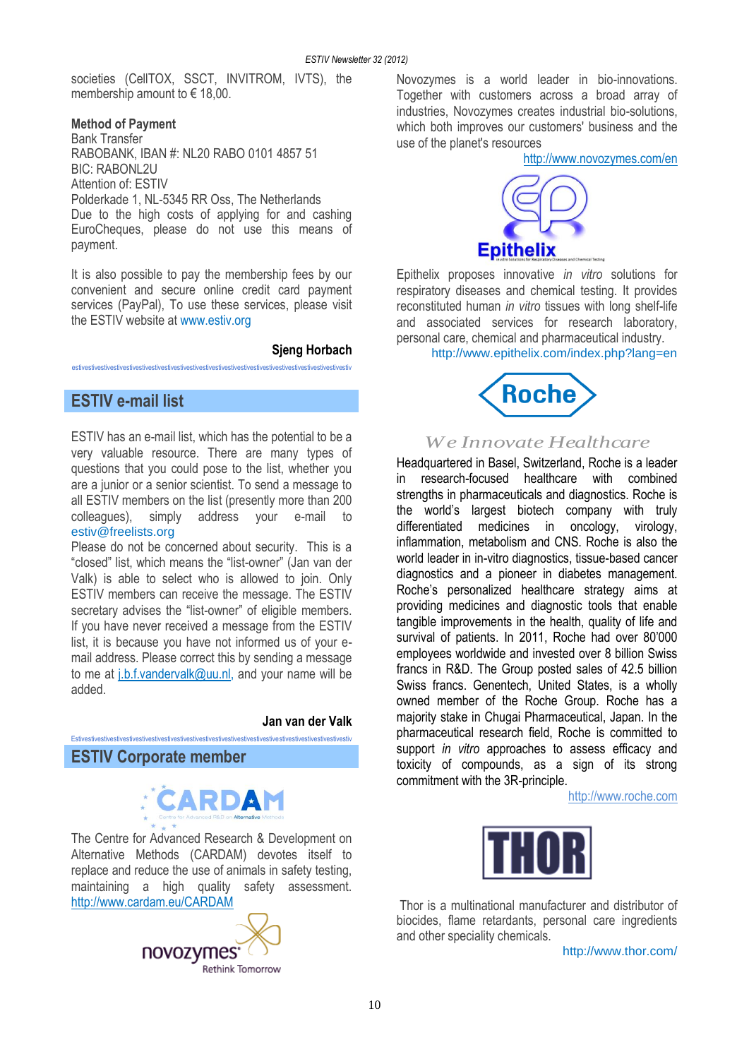societies (CellTOX, SSCT, INVITROM, IVTS), the membership amount to € 18,00.

#### **Method of Payment**

Bank Transfer RABOBANK, IBAN #: NL20 RABO 0101 4857 51 BIC: RABONL2U Attention of: ESTIV Polderkade 1, NL-5345 RR Oss, The Netherlands Due to the high costs of applying for and cashing EuroCheques, please do not use this means of payment.

It is also possible to pay the membership fees by our convenient and secure online credit card payment services (PayPal), To use these services, please visit the ESTIV website at [www.estiv.org](http://www.estiv.org/)

estivestivestivestivestivestivestivestivestivestivestivestivestivestivestivestivestivestivestivestivestivestiv

#### **Sjeng Horbach**

## **ESTIV e-mail list**

ESTIV has an e-mail list, which has the potential to be a very valuable resource. There are many types of questions that you could pose to the list, whether you are a junior or a senior scientist. To send a message to all ESTIV members on the list (presently more than 200 colleagues), simply address your e-mail to [estiv@freelists.org](mailto:estiv@freelists.org)

Please do not be concerned about security. This is a "closed" list, which means the "list-owner" (Jan van der Valk) is able to select who is allowed to join. Only ESTIV members can receive the message. The ESTIV secretary advises the "list-owner" of eligible members. If you have never received a message from the ESTIV list, it is because you have not informed us of your email address. Please correct this by sending a message to me at [j.b.f.vandervalk@uu.nl,](mailto:j.b.f.vandervalk@uu.nl) and your name will be added.

#### **Jan van der Valk**

## **ESTIV Corporate member**



Estivestivestivestivestivestivestivestivestivestivestivestivestivestivestivestivestivestivestivestivestivestiv

The Centre for Advanced Research & Development on Alternative Methods (CARDAM) devotes itself to replace and reduce the use of animals in safety testing, maintaining a high quality safety assessment. <http://www.cardam.eu/CARDAM>



Novozymes is a world leader in bio-innovations. Together with customers across a broad array of industries, Novozymes creates industrial bio-solutions, which both improves our customers' business and the use of the planet's resources

<http://www.novozymes.com/en>



Epithelix proposes innovative *in vitro* solutions for respiratory diseases and chemical testing. It provides reconstituted human *in vitro* tissues with long shelf-life and associated services for research laboratory, personal care, chemical and pharmaceutical industry.

http://www.epithelix.com/index.php?lang=en



## *We Innovate Healthcare*

Headquartered in Basel, Switzerland, Roche is a leader in research-focused healthcare with combined strengths in pharmaceuticals and diagnostics. Roche is the world's largest biotech company with truly differentiated medicines in oncology, virology, inflammation, metabolism and CNS. Roche is also the world leader in in-vitro diagnostics, tissue-based cancer diagnostics and a pioneer in diabetes management. Roche's personalized healthcare strategy aims at providing medicines and diagnostic tools that enable tangible improvements in the health, quality of life and survival of patients. In 2011, Roche had over 80'000 employees worldwide and invested over 8 billion Swiss francs in R&D. The Group posted sales of 42.5 billion Swiss francs. Genentech, United States, is a wholly owned member of the Roche Group. Roche has a majority stake in Chugai Pharmaceutical, Japan. In the pharmaceutical research field, Roche is committed to support *in vitro* approaches to assess efficacy and toxicity of compounds, as a sign of its strong commitment with the 3R-principle.

[http://www.roche.com](http://www.roche.com/)



Thor is a multinational manufacturer and distributor of biocides, flame retardants, personal care ingredients and other speciality chemicals.

http://www.thor.com/